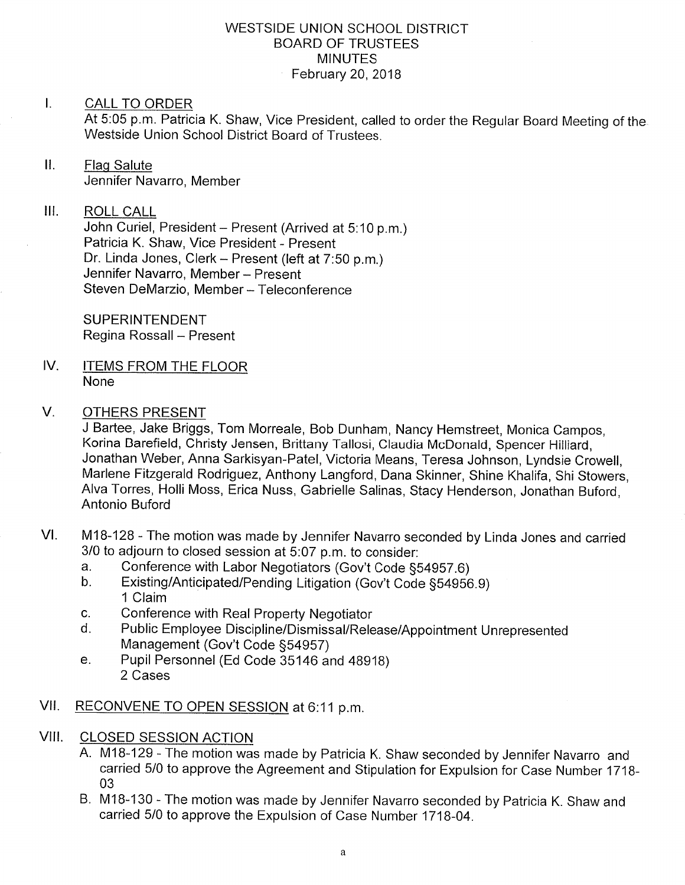## WESTSIDE UNION SCHOOL DISTRICT BOARD OF TRUSTEES MINUTES February 20,2018

## I. CALL TO ORDER

At 5:05 p.m. Patricia K. Shaw, Vice President, called to order the Regular Board Meeting of the Westside Union School District Board of Trustees.

ll. Flaq Salute Jennifer Navarro, Member

# lil ROLL CALL

John Curiel, President - Present (Arrived at 5:10 p.m.) Patricia K. Shaw, Vice President - Present Dr. Linda Jones, Clerk - Present (left at 7:50 p.m.) Jennifer Navarro, Member - Present Steven DeMarzio, Member - Teleconference

SUPERINTENDENT Regina Rossall - Present

IV. ITEMS FROM THE FLOOR None

#### V OTHERS PRESENT

J Bartee, Jake Briggs, Tom Morreale, Bob Dunham, Nancy Hemstreet, Monica Campos, Korina Barefield, Christy Jensen, Brittany Tallosi, Claudia McDonald, Spencer Hilliard, Jonathan Weber, Anna Sarkisyan-Patel, Victoria Means, Teresa Johnson, Lyndsie Crowell, Marlene Fitzgerald Rodriguez, Anthony Langford, Dana Skinner, Shine Khalifa, Shi Stowers, Alva Torres, Holli Moss, Erica Nuss, Gabrielle Salinas, Stacy Henderson, Jonathan Buford, Antonio Buford

- VI. M18-128 The motion was made by Jennifer Navarro seconded by Linda Jones and carried 3/0 to adjourn to closed session at 5:07 p.m. to consider:
	- a. Conference with Labor Negotiators (Gov't Code §54957.6)<br>b. Existing/Anticipated/Pending Litigation (Gov't Code §54956.9)
	- '1 Claim
	-
	- c. Conference with Real Property Negotiator<br>d. Public Employee Discipline/Dismissal/Release/Appointment Unrepresented<br>Management (Gov't Code §54957)
	- e. Pupil Personnel (Ed Code 35146 and 48918) 2 Cases
- Vll. RECONVENE TO OPEN SESSION at 6:11 p.m
- **CLOSED SESSION ACTION** VIII.
	- A. M1B-129 The motion was made by Patricia K. Shaw seconded by Jennifer Navarro and carried 5/0 to approve the Agreement and Stipulation for Expulsion for Case Number 1718- 03
	- B. M1B-130 The motion was made by Jennifer Navarro seconded by Patricia K. Shaw and carried 5/0 to approve the Expulsion of Case Number 1718-04.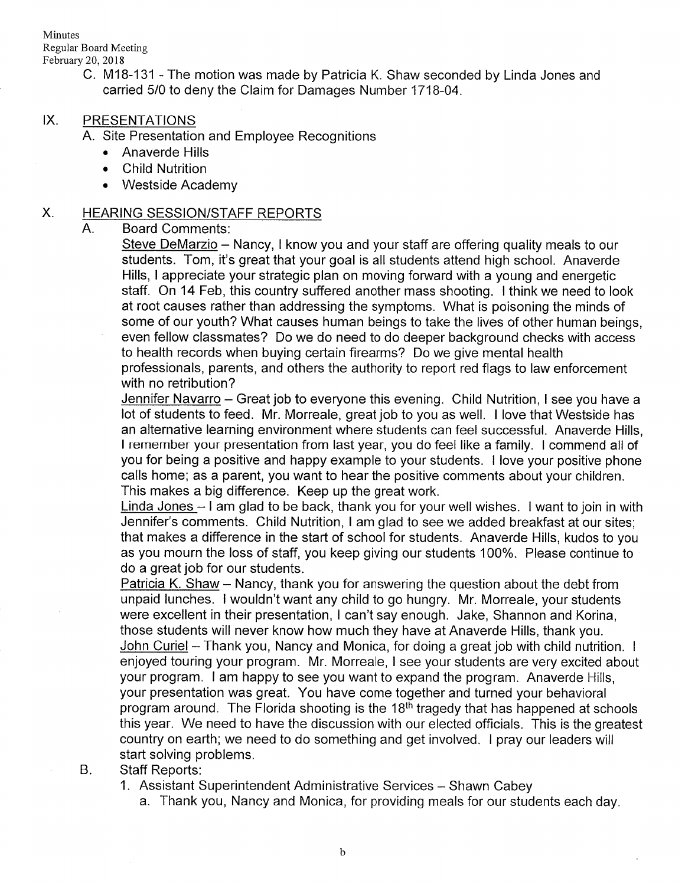Minutes Regular Board Meeting February 20,2018

> C. M18-131 - The motion was made by Patricia K. Shaw seconded by Linda Jones and carried 5/0 to deny the Claim for Damages Number 1718-04.

# IX. PRESENTATIONS

A. Site Presentation and Employee Recognitions

- . Anaverde Hills
- . Child Nutrition
- Westside Academy

### X. HEARING SESSION/STAFF REPORTS

### A. Board Comments

Steve DeMarzio - Nancy, I know you and your staff are offering quality meals to our students. Tom, it's great that your goal is all students attend high school. Anaverde Hills, I appreciate your strategic plan on moving fonvard with a young and energetic staff. On 14 Feb, this country suffered another mass shooting. I think we need to look at root causes rather than addressing the symptoms. What is poisoning the minds of some of our youth? What causes human beings to take the lives of other human beings, even fellow classmates? Do we do need to do deeper background checks with access to health records when buying certain firearms? Do we give mental health professionals, parents, and others the authority to report red flags to law enforcement with no retribution?

<u>Jennifer Navarro</u> – Great job to everyone this evening. Child Nutrition, I see you have a lot of students to feed. Mr. Morreale, great job to you as well. I love that Westside has an alternative learning environment where students can feel successful. Anaverde Hills, <sup>I</sup>remember your presentation from last year, you do feel like a family. I commend all of you for being a positive and happy example to your students. I love your positive phone calls home; as a parent, you want to hear the positive comments about your children. This makes a big difference. Keep up the great work.

Linda Jones - I am glad to be back, thank you for your well wishes. I want to join in with Jennifer's comments. Child Nutrition, I am glad to see we added breakfast at our sites; that makes a difference in the start of school for students. Anaverde Hills, kudos to you as you mourn the loss of staff, you keep giving our students 1 00%. Please continue to do a great job for our students.

Patricia K. Shaw - Nancy, thank you for answering the question about the debt from unpaid lunches. I wouldn't want any child to go hungry. Mr. Morreale, your students were excellent in their presentation, I can't say enough. Jake, Shannon and Korina, those students will never know how much they have at Anaverde Hills, thank you. John Curiel - Thank you, Nancy and Monica, for doing a great job with child nutrition. I enjoyed touring your program. Mr. Morreale, <sup>I</sup>see your students are very excited about your program. I am happy to see you want to expand the program. Anaverde Hills, your presentation was great. You have come together and turned your behavioral program around. The Florida shooting is the  $18<sup>th</sup>$  tragedy that has happened at schools this year. We need to have the discussion with our elected officials. This is the greatest country on earth; we need to do something and get involved. I pray our leaders will start solving problems.

#### Staff Reports:  $B.$

1. Assistant Superintendent Administrative Services - Shawn Cabey

a. Thank you, Nancy and Monica, for providing meals for our students each day.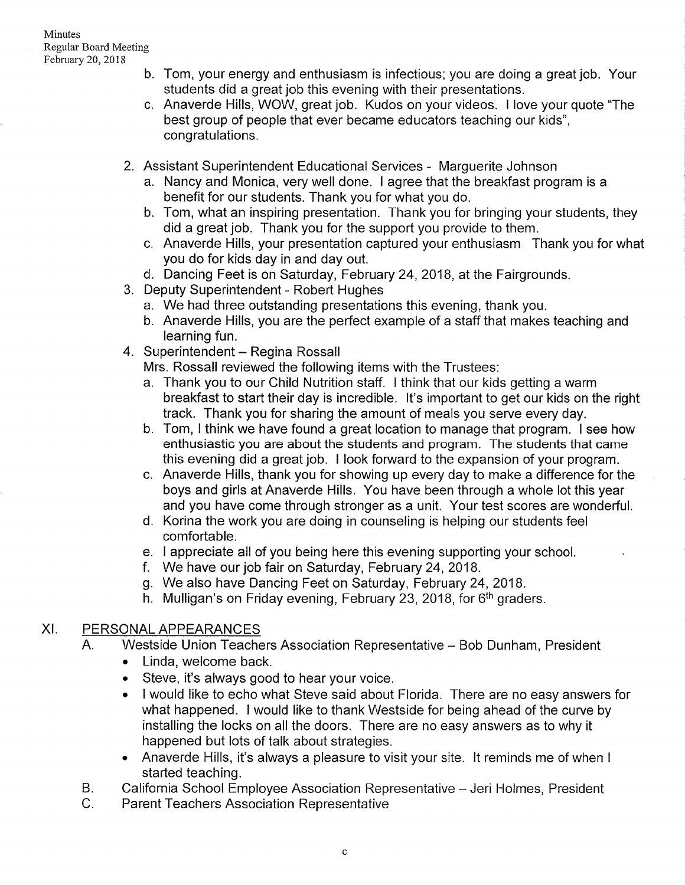- b. Tom, your energy and enthusiasm is infectious; you are doing a great job. Your students did a great job this evening with their presentations.
- Anaverde Hills, WOW, great job. Kudos on your videos. I love your quote "The c best group of people that ever became educators teaching our kids", congratulations.
- 2. Assistant Superintendent Educational Services Marguerite Johnson
	- a. Nancy and Monica, very well done. I agree that the breakfast program is a benefit for our students. Thank you for what you do.
	- b. Tom, what an inspiring presentation. Thank you for bringing your students, they did a great job. Thank you for the support you provide to them.
	- c. Anaverde Hills, your presentation captured your enthusiasm Thank you for what
- you do for kids day in and day out. d. Dancing Feet is on Saturday, February 24, 2018, at the Fairgrounds. 3. Deputy Superintendent Robert Hughes
- - a. We had three outstanding presentations this evening, thank you.
	- b. Anaverde Hills, you are the perfect example of a staff that makes teaching and learning fun.
- 4. Superintendent Regina Rossall
	- Mrs. Rossall reviewed the following items with the Trustees.
	- a. Thank you to our Child Nutrition staff. I think that our kids getting a warm breakfast to start their day is incredible. It's important to get our kids on the right track. Thank you for sharing the amount of meals you serve every day.
	- b. Tom, I think we have found a great location to manage that program. I see how enthusiastic you are about the students and program. The students that came this evening did a great job. I look forward to the expansion of your program.
	- c. Anaverde Hills, thank you for showing up every day to make a difference for the boys and girls at Anaverde Hills. You have been through a whole lot this year and you have come through stronger as <sup>a</sup>unit. Your test scores are wonderful. d. Korina the work you are doing in counseling is helping our students feel
	- comfortable.
	- e. I appreciate all of you being here this evening supporting your school.
	- <sup>f</sup>. We have our job fair on Saturday, February 24,2018.
	-
	- g. We also have Dancing Feet on Saturday, February 24, 2018.<br>h. Mulligan's on Friday evening, February 23, 2018, for 6<sup>th</sup> graders.

# XI. PERSONAL APPEARANCES

- A. Westside Union Teachers Association Representative Bob Dunham, President
	- . Linda, welcome back.
	- . Steve, it's always good to hear your voice.
	- . I would like to echo what Steve said about Florida. There are no easy answers for what happened. I would like to thank Westside for being ahead of the curve by installing the locks on all the doors. There are no easy answers as to why it happened but lots of talk about strategies.
	- . Anaverde Hills, it's always a pleasure to visit your site. lt reminds me of when <sup>I</sup> started teaching.
- California School Employee Association Representative Jeri Holmes, President B.
- Parent Teachers Association Representative  $C_{\cdot}$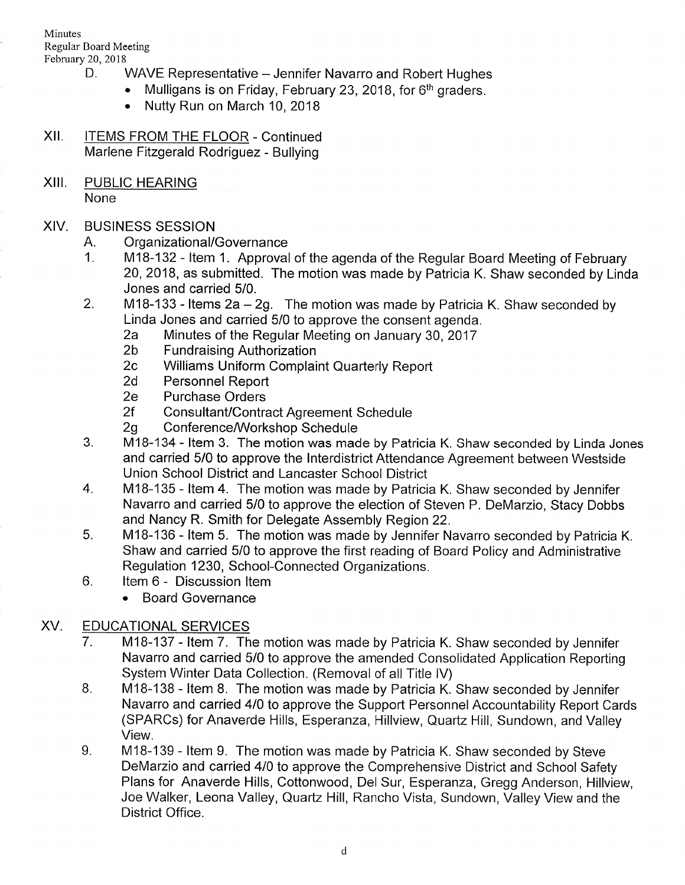- February 20, 2018<br>D. WAVE Representative Jennifer Navarro and Robert Hughes
	- Mulligans is on Friday, February 23, 2018, for 6<sup>th</sup> graders.
		- . Nutty Run on March 10,2018
- XII. ITEMS FROM THE FLOOR Continued Marlene Fitzgerald Rodriguez - Bullying
- XIII. PUBLIC HEARING

None

# XIV. BUSINESS SESSION

- 
- A. Organizational/Governance<br>1. M18-132 Item 1. Approval of the agenda of the Regular Board Meeting of February 20,2018, as submitted. The motion was made by Patricia K. Shaw seconded by Linda Jones and carried 5/0.
- 2. M18-133 Items  $2a 2g$ . The motion was made by Patricia K. Shaw seconded by
	- Linda Jones and carried 5/0 to approve the consent agenda.<br>
	2a Minutes of the Regular Meeting on January 30, 2017<br>
	2b Fundraising Authorization<br>
	2c Williams Uniform Complaint Quarterly Report<br>
	2d Personnel Report<br>
	2e Purch
	-
	-
	-
	-
	-
	-
- 2f Consultant/Contract Agreement Schedule<br>2g Conference/Workshop Schedule<br>3. M18-134 Item 3. The motion was made by Patricia K. Shaw seconded by Linda Jones and carried 5/0 to approve the lnterdistrict Attendance Agreement between Westside Union School District and Lancaster School District
- 4. M1B-135 ltem 4. The motion was made by Patricia K. Shaw seconded by Jennifer Navarro and carried 5/0 to approve the election of Steven P. DeMarzio, Stacy Dobbs and Nancy R. Smith for Delegate Assembly Region 22.
- 5. M18-136 Item 5. The motion was made by Jennifer Navarro seconded by Patricia K. Shaw and carried 5/0 to approve the first reading of Board Policy and Administrative Regulation 1230, School-Connected Organizations. 6. ltem 6 - Discussion ltem
- - . Board Governance

# XV. EDUCATIONAL SERVICES

- <sup>7</sup>. M1B-137 ltem 7. The motion was made by Patricia K. Shaw seconded by Jennifer Navarro and carried 5/0 to approve the amended Consolidated Application Reporting System Winter Data Collection. (Removal of all Title IV)<br>8. M18-138 - Item 8. The motion was made by Patricia K. Shaw seconded by Jennifer
- Navarro and carried 4/0 to approve the Support Personnel Accountability Report Cards (SPARCs) for Anaverde Hills, Esperanza, Hillview, Quartz Hill, Sundown, and Valley View.
- 9. M18-139 ltem g. The motion was made by Patricia K. Shaw seconded by Steve DeMarzio and carried 410 to approve the Comprehensive District and School Safety Plans for Anaverde Hills, Cottonwood, Del Sur, Esperanza, Gregg Anderson, Hillview, Joe Walker, Leona Valley, Quartz Hill, Rancho Vista, Sundown, Valley View and the District Office.